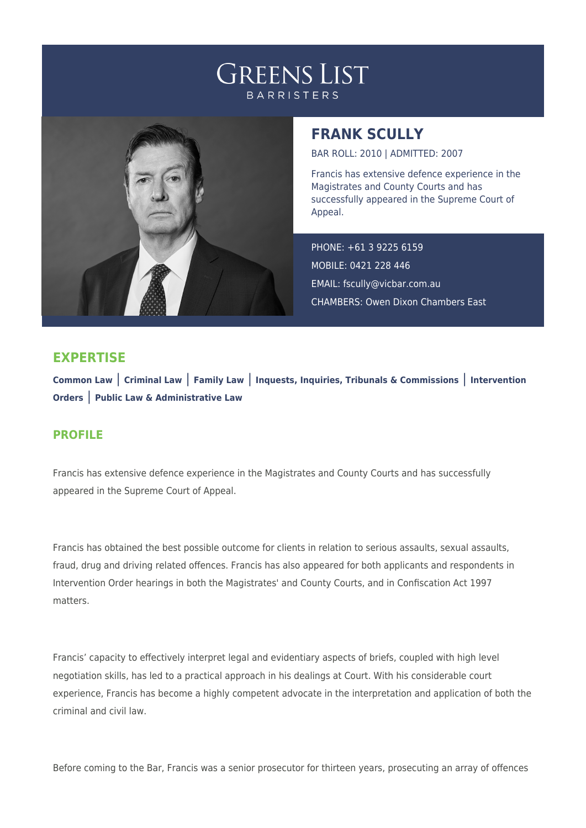## **GREENS LIST BARRISTERS**



## **FRANK SCULLY**

BAR ROLL: 2010 | ADMITTED: 2007

Francis has extensive defence experience in the Magistrates and County Courts and has successfully appeared in the Supreme Court of Appeal.

PHONE: +61 3 9225 6159 MOBILE: 0421 228 446 EMAIL: [fscully@vicbar.com.au](mailto:fscully@vicbar.com.au) CHAMBERS: Owen Dixon Chambers East

## **EXPERTISE**

**Common Law** | **Criminal Law** | **Family Law** | **Inquests, Inquiries, Tribunals & Commissions** | **Intervention Orders** | **Public Law & Administrative Law**

## **PROFILE**

Francis has extensive defence experience in the Magistrates and County Courts and has successfully appeared in the Supreme Court of Appeal.

Francis has obtained the best possible outcome for clients in relation to serious assaults, sexual assaults, fraud, drug and driving related offences. Francis has also appeared for both applicants and respondents in Intervention Order hearings in both the Magistrates' and County Courts, and in Confiscation Act 1997 matters.

Francis' capacity to effectively interpret legal and evidentiary aspects of briefs, coupled with high level negotiation skills, has led to a practical approach in his dealings at Court. With his considerable court experience, Francis has become a highly competent advocate in the interpretation and application of both the criminal and civil law.

Before coming to the Bar, Francis was a senior prosecutor for thirteen years, prosecuting an array of offences